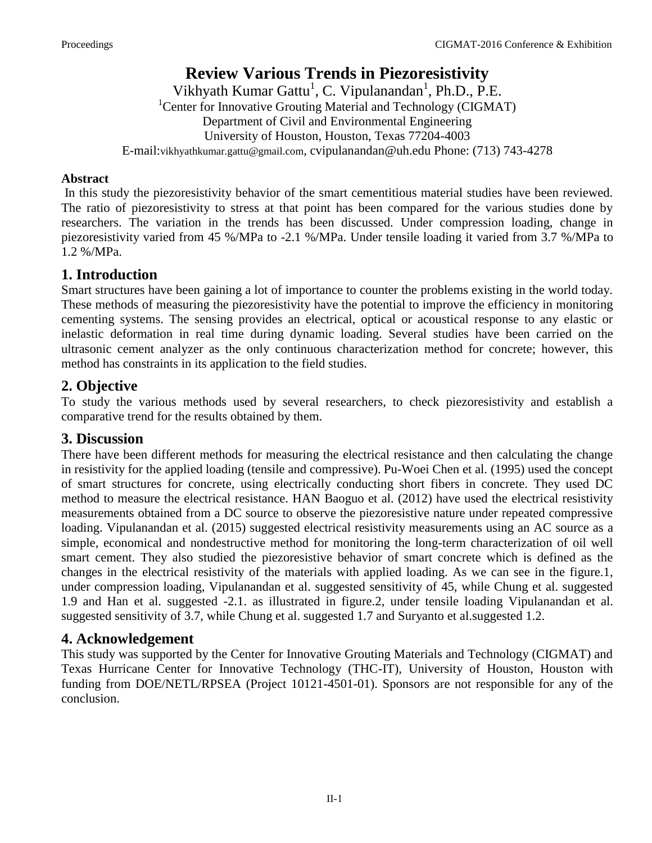# **Review Various Trends in Piezoresistivity**

Vikhyath Kumar Gattu<sup>1</sup>, C. Vipulanandan<sup>1</sup>, Ph.D., P.E. <sup>1</sup>Center for Innovative Grouting Material and Technology (CIGMAT) Department of Civil and Environmental Engineering University of Houston, Houston, Texas 77204-4003 E-mail:vikhyathkumar.gattu@gmail.com, cvipulanandan@uh.edu Phone: (713) 743-4278

#### **Abstract**

 In this study the piezoresistivity behavior of the smart cementitious material studies have been reviewed. The ratio of piezoresistivity to stress at that point has been compared for the various studies done by researchers. The variation in the trends has been discussed. Under compression loading, change in piezoresistivity varied from 45 %/MPa to -2.1 %/MPa. Under tensile loading it varied from 3.7 %/MPa to 1.2 %/MPa.

# **1. Introduction**

Smart structures have been gaining a lot of importance to counter the problems existing in the world today. These methods of measuring the piezoresistivity have the potential to improve the efficiency in monitoring cementing systems. The sensing provides an electrical, optical or acoustical response to any elastic or inelastic deformation in real time during dynamic loading. Several studies have been carried on the ultrasonic cement analyzer as the only continuous characterization method for concrete; however, this method has constraints in its application to the field studies.

# **2. Objective**

To study the various methods used by several researchers, to check piezoresistivity and establish a comparative trend for the results obtained by them.

## **3. Discussion**

There have been different methods for measuring the electrical resistance and then calculating the change in resistivity for the applied loading (tensile and compressive). Pu-Woei Chen et al. (1995) used the concept of smart structures for concrete, using electrically conducting short fibers in concrete. They used DC method to measure the electrical resistance. HAN Baoguo et al. (2012) have used the electrical resistivity measurements obtained from a DC source to observe the piezoresistive nature under repeated compressive loading. Vipulanandan et al. (2015) suggested electrical resistivity measurements using an AC source as a simple, economical and nondestructive method for monitoring the long-term characterization of oil well smart cement. They also studied the piezoresistive behavior of smart concrete which is defined as the changes in the electrical resistivity of the materials with applied loading. As we can see in the figure.1, under compression loading, Vipulanandan et al. suggested sensitivity of 45, while Chung et al. suggested 1.9 and Han et al. suggested -2.1. as illustrated in figure.2, under tensile loading Vipulanandan et al. suggested sensitivity of 3.7, while Chung et al. suggested 1.7 and Suryanto et al.suggested 1.2.

## **4. Acknowledgement**

This study was supported by the Center for Innovative Grouting Materials and Technology (CIGMAT) and Texas Hurricane Center for Innovative Technology (THC-IT), University of Houston, Houston with funding from DOE/NETL/RPSEA (Project 10121-4501-01). Sponsors are not responsible for any of the conclusion.